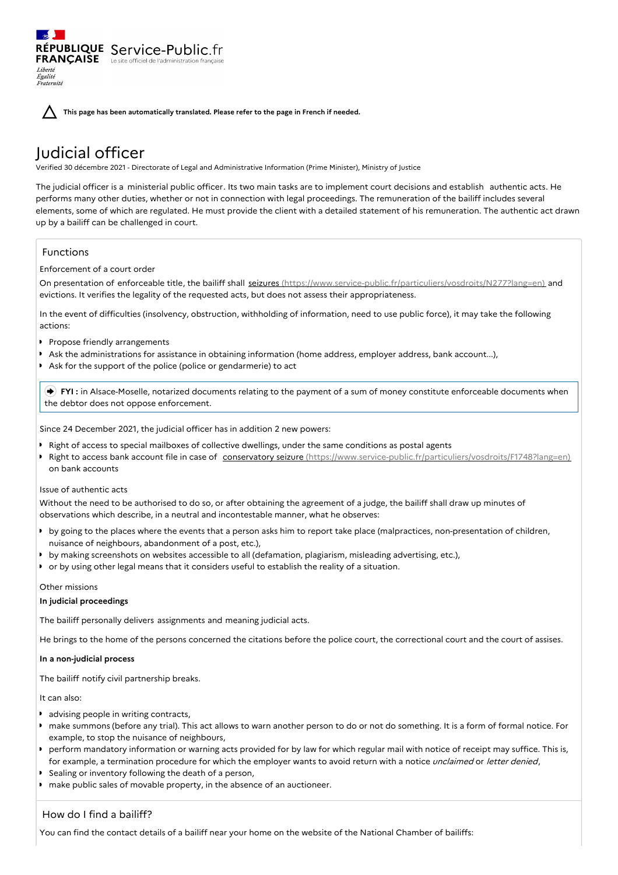**This page has been automatically translated. Please refer to the page in French if needed.**

# Judicial officer

RÉPUBLIQUE Service-Public.fr **FRANÇAISE** Le site officiel de l'administration fran

Verified 30 décembre 2021 - Directorate of Legal and Administrative Information (Prime Minister), Ministry of Justice

The judicial officer is a ministerial public officer. Its two main tasks are to implement court decisions and establish authentic acts. He performs many other duties, whether or not in connection with legal proceedings. The remuneration of the bailiff includes several elements, some of which are regulated. He must provide the client with a detailed statement of his remuneration. The authentic act drawn up by a bailiff can be challenged in court.

# Functions

Liberté Égalité Fraternité

# Enforcement of a court order

On presentation of enforceable title, the bailiff shall seizures [\(https://www.service-public.fr/particuliers/vosdroits/N277?lang=en\)](https://www.service-public.fr/particuliers/vosdroits/N277?lang=en) and evictions. It verifies the legality of the requested acts, but does not assess their appropriateness.

In the event of difficulties (insolvency, obstruction, withholding of information, need to use public force), it may take the following actions:

- **P** Propose friendly arrangements
- Ask the administrations for assistance in obtaining information (home address, employer address, bank account...),
- Ask for the support of the police (police or gendarmerie) to act

 **FYI :** in Alsace-Moselle, notarized documents relating to the payment of a sum of money constitute enforceable documents when the debtor does not oppose enforcement.

Since 24 December 2021, the judicial officer has in addition 2 new powers:

- Right of access to special mailboxes of collective dwellings, under the same conditions as postal agents
- Right to access bank account file in case of conservatory seizure [\(https://www.service-public.fr/particuliers/vosdroits/F1748?lang=en\)](https://www.service-public.fr/particuliers/vosdroits/F1748?lang=en). on bank accounts

## Issue of authentic acts

Without the need to be authorised to do so, or after obtaining the agreement of a judge, the bailiff shall draw up minutes of observations which describe, in a neutral and incontestable manner, what he observes:

- by going to the places where the events that a person asks him to report take place (malpractices, non-presentation of children, nuisance of neighbours, abandonment of a post, etc.),
- by making screenshots on websites accessible to all (defamation, plagiarism, misleading advertising, etc.),
- or by using other legal means that it considers useful to establish the reality of a situation.

## Other missions

## **In judicial proceedings**

The bailiff personally delivers assignments and meaning judicial acts.

He brings to the home of the persons concerned the citations before the police court, the correctional court and the court of assises.

## **In a non-judicial process**

The bailiff notify civil partnership breaks.

# It can also:

- **advising people in writing contracts,**
- make summons (before any trial). This act allows to warn another person to do or not do something. It is a form of formal notice. For example, to stop the nuisance of neighbours,
- perform mandatory information or warning acts provided for by law for which regular mail with notice of receipt may suffice. This is, for example, a termination procedure for which the employer wants to avoid return with a notice unclaimed or letter denied,
- Sealing or inventory following the death of a person,
- make public sales of movable property, in the absence of an auctioneer.

# How do I find a bailiff?

You can find the contact details of a bailiff near your home on the website of the National Chamber of bailiffs: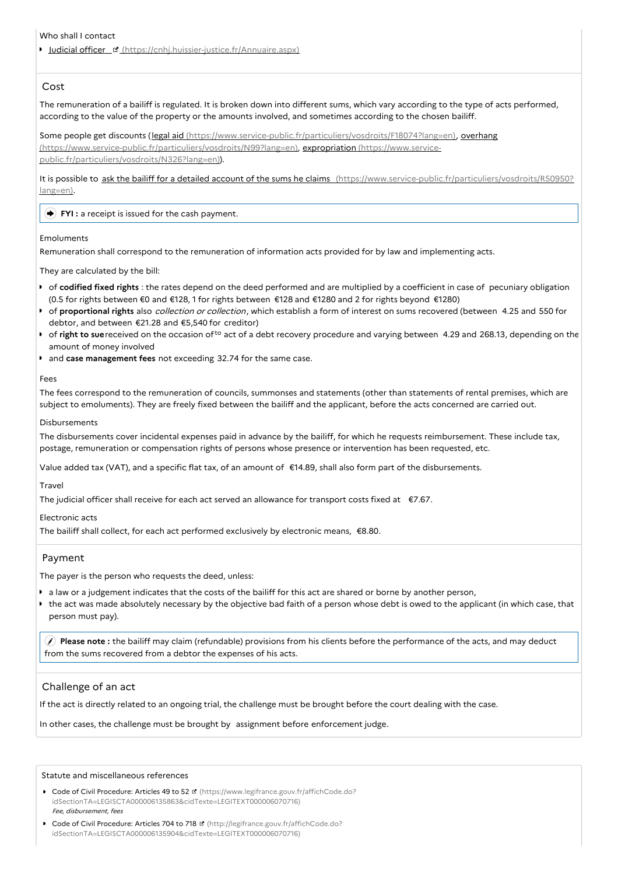#### Who shall I contact

Iudicial officer E [\(https://cnhj.huissier-justice.fr/Annuaire.aspx\)](https://cnhj.huissier-justice.fr/Annuaire.aspx)

## Cost

The remuneration of a bailiff is regulated. It is broken down into different sums, which vary according to the type of acts performed, according to the value of the property or the amounts involved, and sometimes according to the chosen bailiff.

Some people get discounts (legal aid [\(https://www.service-public.fr/particuliers/vosdroits/F18074?lang=en](https://www.service-public.fr/particuliers/vosdroits/F18074?lang=en)[\),](https://www.service-public.fr/particuliers/vosdroits/N99?lang=en) overhang [\(https://www.service-public.fr/particuliers/vosdroits/N99?lang=en\),](https://www.service-public.fr/particuliers/vosdroits/N326?lang=en) expropriation (https://www.servicepublic.fr/particuliers/vosdroits/N326?lang=en)).

It is possible to ask the bailiff for a detailed account of the sums he claims [\(https://www.service-public.fr/particuliers/vosdroits/R50950?](https://www.service-public.fr/particuliers/vosdroits/R50950?lang=en) lang=en).

#### **FYI**: a receipt is issued for the cash payment.

#### Emoluments

Remuneration shall correspond to the remuneration of information acts provided for by law and implementing acts.

They are calculated by the bill:

- of **codified fixed rights** : the rates depend on the deed performed and are multiplied by a coefficient in case of pecuniary obligation (0.5 for rights between €0 and €128, 1 for rights between €128 and €1280 and 2 for rights beyond €1280)
- of **proportional rights** also collection or collection, which establish a form of interest on sums recovered (between 4.25 and 550 for debtor, and between €21.28 and €5,540 for creditor)
- of **right to sue** received on the occasion of<sup>to</sup> act of a debt recovery procedure and varying between 4.29 and 268.13, depending on the amount of money involved
- and **case management fees** not exceeding 32.74 for the same case.

#### Fees

The fees correspond to the remuneration of councils, summonses and statements (other than statements of rental premises, which are subject to emoluments). They are freely fixed between the bailiff and the applicant, before the acts concerned are carried out.

#### Disbursements

The disbursements cover incidental expenses paid in advance by the bailiff, for which he requests reimbursement. These include tax, postage, remuneration or compensation rights of persons whose presence or intervention has been requested, etc.

Value added tax (VAT), and a specific flat tax, of an amount of €14.89, shall also form part of the disbursements.

Travel

The judicial officer shall receive for each act served an allowance for transport costs fixed at €7.67.

Electronic acts

The bailiff shall collect, for each act performed exclusively by electronic means, €8.80.

## Payment

The payer is the person who requests the deed, unless:

- a law or a judgement indicates that the costs of the bailiff for this act are shared or borne by another person,
- the act was made absolutely necessary by the objective bad faith of a person whose debt is owed to the applicant (in which case, that person must pay).

 **Please note :** the bailiff may claim (refundable) provisions from his clients before the performance of the acts, and may deduct from the sums recovered from a debtor the expenses of his acts.

## Challenge of an act

If the act is directly related to an ongoing trial, the challenge must be brought before the court dealing with the case.

In other cases, the challenge must be brought by assignment before enforcement judge.

#### Statute and miscellaneous references

- Code of Civil Procedure: Articles 49 to 52 **d** (https://www.legifrance.gouv.fr/affichCode.do? [idSectionTA=LEGISCTA000006135863&cidTexte=LEGITEXT000006070716\)](https://www.legifrance.gouv.fr/affichCode.do?idSectionTA=LEGISCTA000006135863&cidTexte=LEGITEXT000006070716) Fee, disbursement, fees
- Code of Civil Procedure: Articles 704 to 718 <sup>d</sup> (http://legifrance.gouv.fr/affichCode.do? [idSectionTA=LEGISCTA000006135904&cidTexte=LEGITEXT000006070716\)](http://legifrance.gouv.fr/affichCode.do?idSectionTA=LEGISCTA000006135904&cidTexte=LEGITEXT000006070716)